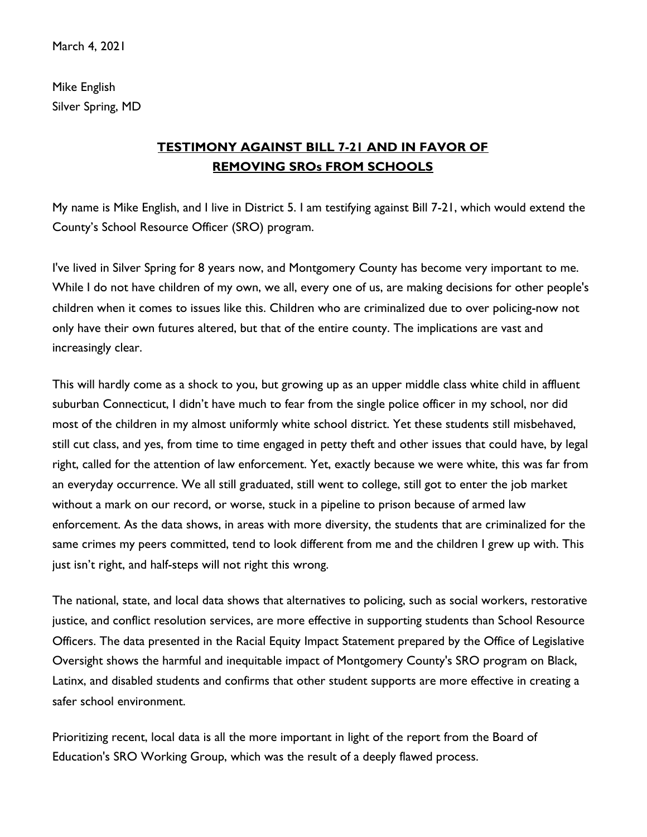Mike English Silver Spring, MD

## **TESTIMONY AGAINST BILL 7-21 AND IN FAVOR OF REMOVING SROs FROM SCHOOLS**

My name is Mike English, and I live in District 5. I am testifying against Bill 7-21, which would extend the County's School Resource Officer (SRO) program.

I've lived in Silver Spring for 8 years now, and Montgomery County has become very important to me. While I do not have children of my own, we all, every one of us, are making decisions for other people's children when it comes to issues like this. Children who are criminalized due to over policing-now not only have their own futures altered, but that of the entire county. The implications are vast and increasingly clear.

This will hardly come as a shock to you, but growing up as an upper middle class white child in affluent suburban Connecticut, I didn't have much to fear from the single police officer in my school, nor did most of the children in my almost uniformly white school district. Yet these students still misbehaved, still cut class, and yes, from time to time engaged in petty theft and other issues that could have, by legal right, called for the attention of law enforcement. Yet, exactly because we were white, this was far from an everyday occurrence. We all still graduated, still went to college, still got to enter the job market without a mark on our record, or worse, stuck in a pipeline to prison because of armed law enforcement. As the data shows, in areas with more diversity, the students that are criminalized for the same crimes my peers committed, tend to look different from me and the children I grew up with. This just isn't right, and half-steps will not right this wrong.

The national, state, and local data shows that alternatives to policing, such as social workers, restorative justice, and conflict resolution services, are more effective in supporting students than School Resource Officers. The data presented in the Racial Equity Impact Statement prepared by the Office of Legislative Oversight shows the harmful and inequitable impact of Montgomery County's SRO program on Black, Latinx, and disabled students and confirms that other student supports are more effective in creating a safer school environment.

Prioritizing recent, local data is all the more important in light of the report from the Board of Education's SRO Working Group, which was the result of a deeply flawed process.